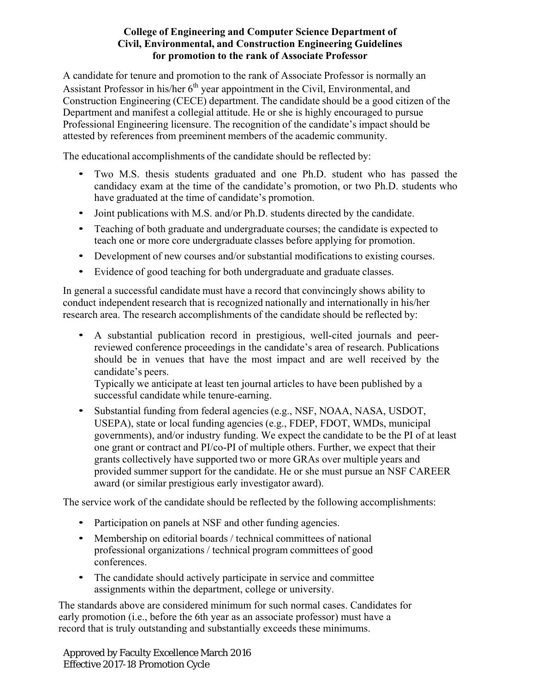## **College of Engineering and Computer Science Department of Civil, Environmental, and Construction Engineering Guidelines for promotion to the rank of Associate Professor**

A candidate for tenure and promotion to the rank of Associate Professor is normally an Assistant Professor in his/her  $6<sup>th</sup>$  year appointment in the Civil, Environmental, and Construction Engineering (CECE) department. The candidate should be a good citizen of the Department and manifest a collegial attitude. He or she is highly encouraged to pursue Professional Engineering licensure. The recognition of the candidate's impact should be attested by references from preeminent members of the academic community.

The educational accomplishments of the candidate should be reflected by:

- Two M.S. thesis students graduated and one Ph.D. student who has passed the candidacy exam at the time of the candidate's promotion, or two Ph.D. students who have graduated at the time of candidate's promotion.
- Joint publications with M.S. and/or Ph.D. students directed by the candidate.
- Teaching of both graduate and undergraduate courses; the candidate is expected to teach one or more core undergraduate classes before applying for promotion.
- Development of new courses and/or substantial modifications to existing courses.
- Evidence of good teaching for both undergraduate and graduate classes.

In general a successful candidate must have a record that convincingly shows ability to conduct independent research that is recognized nationally and internationally in his/her research area. The research accomplishments of the candidate should be reflected by:

• A substantial publication record in prestigious, well-cited journals and peerreviewed conference proceedings in the candidate's area of research. Publications should be in venues that have the most impact and are well received by the candidate's peers.

Typically we anticipate at least ten journal articles to have been published by a successful candidate while tenure-earning.

• Substantial funding from federal agencies (e.g., NSF, NOAA, NASA, USDOT, USEPA), state or local funding agencies (e.g., FDEP, FDOT, WMDs, municipal governments), and/or industry funding. We expect the candidate to be the PI of at least one grant or contract and PI/co-PI of multiple others. Further, we expect that their grants collectively have supported two or more GRAs over multiple years and provided summer support for the candidate. He or she must pursue an NSF CAREER award (or similar prestigious early investigator award).

The service work of the candidate should be reflected by the following accomplishments:

- Participation on panels at NSF and other funding agencies.
- Membership on editorial boards / technical committees of national professional organizations / technical program committees of good conferences.
- The candidate should actively participate in service and committee assignments within the department, college or university.

The standards above are considered minimum for such normal cases. Candidates for early promotion (i.e., before the 6th year as an associate professor) must have a record that is truly outstanding and substantially exceeds these minimums.

Approved by Faculty Excellence March 2016 Effective 2017-18 Promotion Cycle